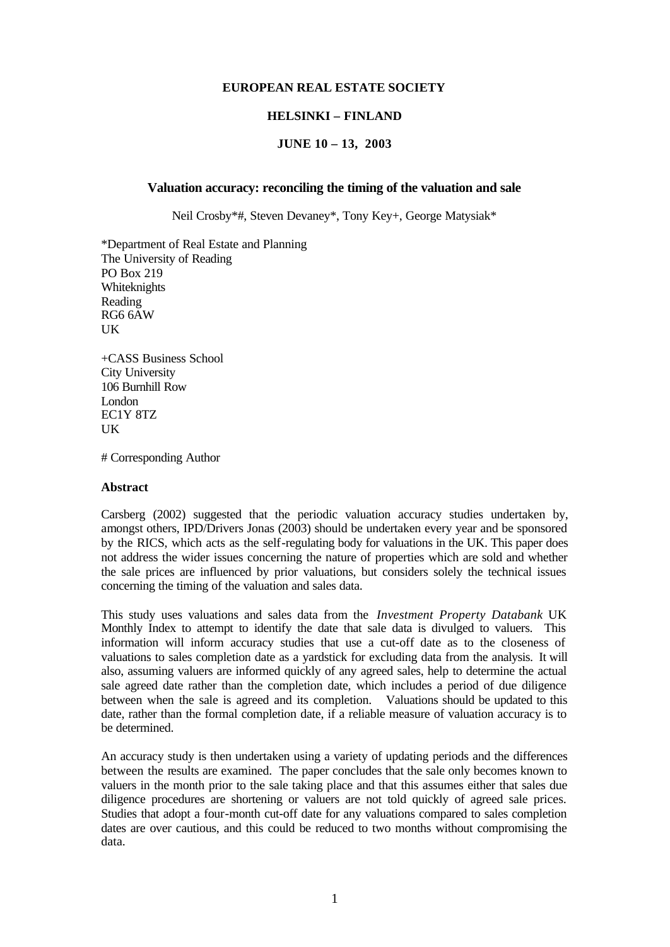#### **EUROPEAN REAL ESTATE SOCIETY**

### **HELSINKI – FINLAND**

# **JUNE 10 – 13, 2003**

#### **Valuation accuracy: reconciling the timing of the valuation and sale**

Neil Crosby\*#, Steven Devaney\*, Tony Key+, George Matysiak\*

\*Department of Real Estate and Planning The University of Reading PO Box 219 Whiteknights Reading RG6 6AW UK

+CASS Business School City University 106 Burnhill Row London EC1Y 8TZ UK

# Corresponding Author

#### **Abstract**

Carsberg (2002) suggested that the periodic valuation accuracy studies undertaken by, amongst others, IPD/Drivers Jonas (2003) should be undertaken every year and be sponsored by the RICS, which acts as the self-regulating body for valuations in the UK. This paper does not address the wider issues concerning the nature of properties which are sold and whether the sale prices are influenced by prior valuations, but considers solely the technical issues concerning the timing of the valuation and sales data.

This study uses valuations and sales data from the *Investment Property Databank* UK Monthly Index to attempt to identify the date that sale data is divulged to valuers. This information will inform accuracy studies that use a cut-off date as to the closeness of valuations to sales completion date as a yardstick for excluding data from the analysis. It will also, assuming valuers are informed quickly of any agreed sales, help to determine the actual sale agreed date rather than the completion date, which includes a period of due diligence between when the sale is agreed and its completion. Valuations should be updated to this date, rather than the formal completion date, if a reliable measure of valuation accuracy is to be determined.

An accuracy study is then undertaken using a variety of updating periods and the differences between the results are examined. The paper concludes that the sale only becomes known to valuers in the month prior to the sale taking place and that this assumes either that sales due diligence procedures are shortening or valuers are not told quickly of agreed sale prices. Studies that adopt a four-month cut-off date for any valuations compared to sales completion dates are over cautious, and this could be reduced to two months without compromising the data.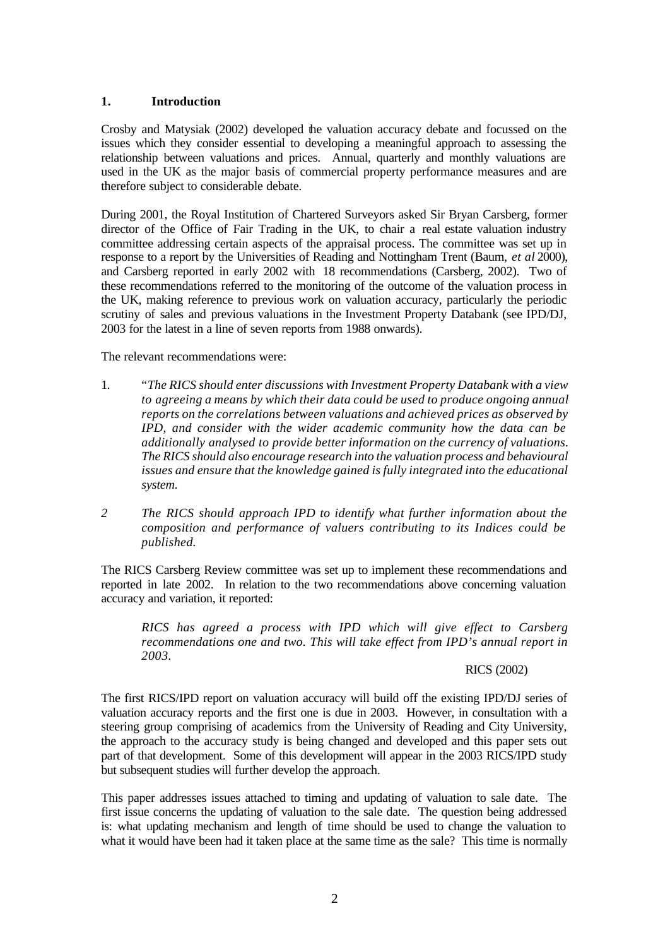# **1. Introduction**

Crosby and Matysiak (2002) developed the valuation accuracy debate and focussed on the issues which they consider essential to developing a meaningful approach to assessing the relationship between valuations and prices. Annual, quarterly and monthly valuations are used in the UK as the major basis of commercial property performance measures and are therefore subject to considerable debate.

During 2001, the Royal Institution of Chartered Surveyors asked Sir Bryan Carsberg, former director of the Office of Fair Trading in the UK, to chair a real estate valuation industry committee addressing certain aspects of the appraisal process. The committee was set up in response to a report by the Universities of Reading and Nottingham Trent (Baum, *et al* 2000), and Carsberg reported in early 2002 with 18 recommendations (Carsberg, 2002). Two of these recommendations referred to the monitoring of the outcome of the valuation process in the UK, making reference to previous work on valuation accuracy, particularly the periodic scrutiny of sales and previous valuations in the Investment Property Databank (see IPD/DJ, 2003 for the latest in a line of seven reports from 1988 onwards).

The relevant recommendations were:

- 1. "*The RICS should enter discussions with Investment Property Databank with a view to agreeing a means by which their data could be used to produce ongoing annual reports on the correlations between valuations and achieved prices as observed by IPD, and consider with the wider academic community how the data can be additionally analysed to provide better information on the currency of valuations. The RICS should also encourage research into the valuation process and behavioural issues and ensure that the knowledge gained is fully integrated into the educational system.*
- *2 The RICS should approach IPD to identify what further information about the composition and performance of valuers contributing to its Indices could be published.*

The RICS Carsberg Review committee was set up to implement these recommendations and reported in late 2002. In relation to the two recommendations above concerning valuation accuracy and variation, it reported:

*RICS has agreed a process with IPD which will give effect to Carsberg recommendations one and two. This will take effect from IPD's annual report in 2003.*

#### RICS (2002)

The first RICS/IPD report on valuation accuracy will build off the existing IPD/DJ series of valuation accuracy reports and the first one is due in 2003. However, in consultation with a steering group comprising of academics from the University of Reading and City University, the approach to the accuracy study is being changed and developed and this paper sets out part of that development. Some of this development will appear in the 2003 RICS/IPD study but subsequent studies will further develop the approach.

This paper addresses issues attached to timing and updating of valuation to sale date. The first issue concerns the updating of valuation to the sale date. The question being addressed is: what updating mechanism and length of time should be used to change the valuation to what it would have been had it taken place at the same time as the sale? This time is normally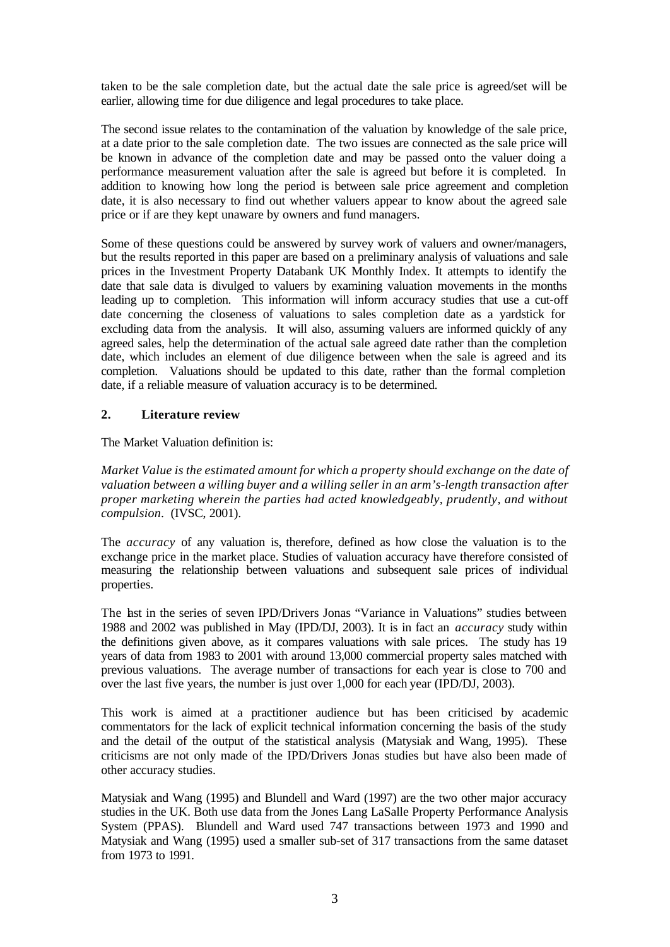taken to be the sale completion date, but the actual date the sale price is agreed/set will be earlier, allowing time for due diligence and legal procedures to take place.

The second issue relates to the contamination of the valuation by knowledge of the sale price, at a date prior to the sale completion date. The two issues are connected as the sale price will be known in advance of the completion date and may be passed onto the valuer doing a performance measurement valuation after the sale is agreed but before it is completed. In addition to knowing how long the period is between sale price agreement and completion date, it is also necessary to find out whether valuers appear to know about the agreed sale price or if are they kept unaware by owners and fund managers.

Some of these questions could be answered by survey work of valuers and owner/managers, but the results reported in this paper are based on a preliminary analysis of valuations and sale prices in the Investment Property Databank UK Monthly Index. It attempts to identify the date that sale data is divulged to valuers by examining valuation movements in the months leading up to completion. This information will inform accuracy studies that use a cut-off date concerning the closeness of valuations to sales completion date as a yardstick for excluding data from the analysis. It will also, assuming valuers are informed quickly of any agreed sales, help the determination of the actual sale agreed date rather than the completion date, which includes an element of due diligence between when the sale is agreed and its completion. Valuations should be updated to this date, rather than the formal completion date, if a reliable measure of valuation accuracy is to be determined.

# **2. Literature review**

The Market Valuation definition is:

*Market Value is the estimated amount for which a property should exchange on the date of valuation between a willing buyer and a willing seller in an arm's-length transaction after proper marketing wherein the parties had acted knowledgeably, prudently, and without compulsion*. (IVSC, 2001).

The *accuracy* of any valuation is, therefore, defined as how close the valuation is to the exchange price in the market place. Studies of valuation accuracy have therefore consisted of measuring the relationship between valuations and subsequent sale prices of individual properties.

The last in the series of seven IPD/Drivers Jonas "Variance in Valuations" studies between 1988 and 2002 was published in May (IPD/DJ, 2003). It is in fact an *accuracy* study within the definitions given above, as it compares valuations with sale prices. The study has 19 years of data from 1983 to 2001 with around 13,000 commercial property sales matched with previous valuations. The average number of transactions for each year is close to 700 and over the last five years, the number is just over 1,000 for each year (IPD/DJ, 2003).

This work is aimed at a practitioner audience but has been criticised by academic commentators for the lack of explicit technical information concerning the basis of the study and the detail of the output of the statistical analysis (Matysiak and Wang, 1995). These criticisms are not only made of the IPD/Drivers Jonas studies but have also been made of other accuracy studies.

Matysiak and Wang (1995) and Blundell and Ward (1997) are the two other major accuracy studies in the UK. Both use data from the Jones Lang LaSalle Property Performance Analysis System (PPAS). Blundell and Ward used 747 transactions between 1973 and 1990 and Matysiak and Wang (1995) used a smaller sub-set of 317 transactions from the same dataset from 1973 to 1991.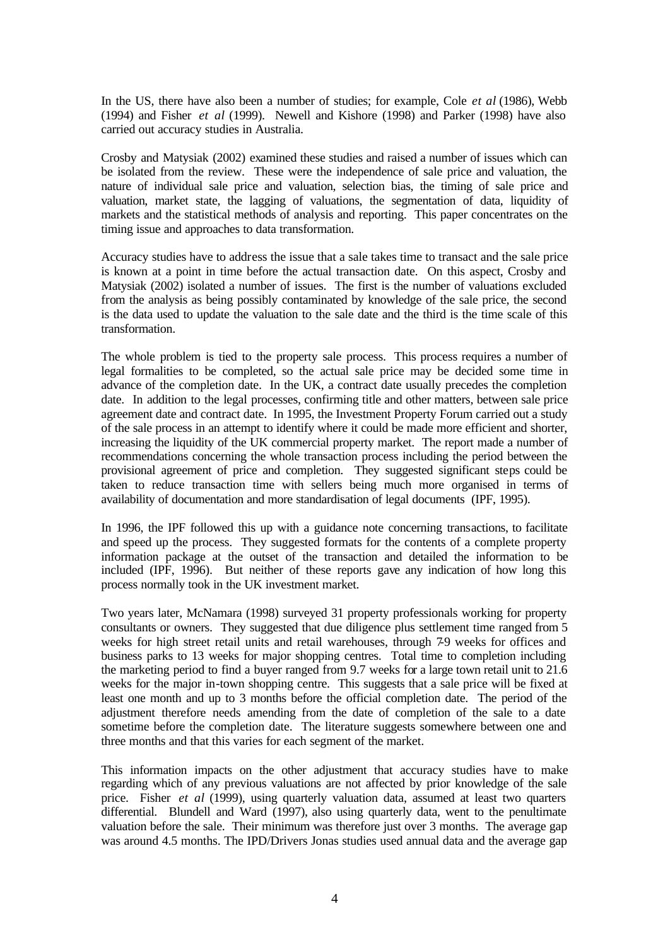In the US, there have also been a number of studies; for example, Cole *et al* (1986), Webb (1994) and Fisher *et al* (1999). Newell and Kishore (1998) and Parker (1998) have also carried out accuracy studies in Australia.

Crosby and Matysiak (2002) examined these studies and raised a number of issues which can be isolated from the review. These were the independence of sale price and valuation, the nature of individual sale price and valuation, selection bias, the timing of sale price and valuation, market state, the lagging of valuations, the segmentation of data, liquidity of markets and the statistical methods of analysis and reporting. This paper concentrates on the timing issue and approaches to data transformation.

Accuracy studies have to address the issue that a sale takes time to transact and the sale price is known at a point in time before the actual transaction date. On this aspect, Crosby and Matysiak (2002) isolated a number of issues. The first is the number of valuations excluded from the analysis as being possibly contaminated by knowledge of the sale price, the second is the data used to update the valuation to the sale date and the third is the time scale of this transformation.

The whole problem is tied to the property sale process. This process requires a number of legal formalities to be completed, so the actual sale price may be decided some time in advance of the completion date. In the UK, a contract date usually precedes the completion date. In addition to the legal processes, confirming title and other matters, between sale price agreement date and contract date. In 1995, the Investment Property Forum carried out a study of the sale process in an attempt to identify where it could be made more efficient and shorter, increasing the liquidity of the UK commercial property market. The report made a number of recommendations concerning the whole transaction process including the period between the provisional agreement of price and completion. They suggested significant steps could be taken to reduce transaction time with sellers being much more organised in terms of availability of documentation and more standardisation of legal documents (IPF, 1995).

In 1996, the IPF followed this up with a guidance note concerning transactions, to facilitate and speed up the process. They suggested formats for the contents of a complete property information package at the outset of the transaction and detailed the information to be included (IPF, 1996). But neither of these reports gave any indication of how long this process normally took in the UK investment market.

Two years later, McNamara (1998) surveyed 31 property professionals working for property consultants or owners. They suggested that due diligence plus settlement time ranged from 5 weeks for high street retail units and retail warehouses, through 79 weeks for offices and business parks to 13 weeks for major shopping centres. Total time to completion including the marketing period to find a buyer ranged from 9.7 weeks for a large town retail unit to 21.6 weeks for the major in-town shopping centre. This suggests that a sale price will be fixed at least one month and up to 3 months before the official completion date. The period of the adjustment therefore needs amending from the date of completion of the sale to a date sometime before the completion date. The literature suggests somewhere between one and three months and that this varies for each segment of the market.

This information impacts on the other adjustment that accuracy studies have to make regarding which of any previous valuations are not affected by prior knowledge of the sale price. Fisher *et al* (1999), using quarterly valuation data, assumed at least two quarters differential. Blundell and Ward (1997), also using quarterly data, went to the penultimate valuation before the sale. Their minimum was therefore just over 3 months. The average gap was around 4.5 months. The IPD/Drivers Jonas studies used annual data and the average gap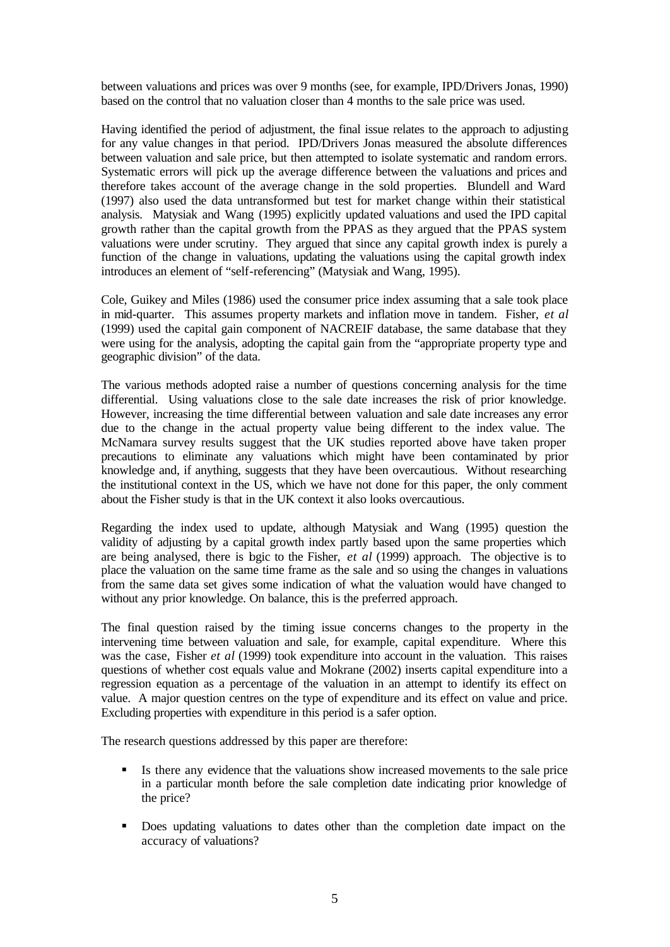between valuations and prices was over 9 months (see, for example, IPD/Drivers Jonas, 1990) based on the control that no valuation closer than 4 months to the sale price was used.

Having identified the period of adjustment, the final issue relates to the approach to adjusting for any value changes in that period. IPD/Drivers Jonas measured the absolute differences between valuation and sale price, but then attempted to isolate systematic and random errors. Systematic errors will pick up the average difference between the valuations and prices and therefore takes account of the average change in the sold properties. Blundell and Ward (1997) also used the data untransformed but test for market change within their statistical analysis. Matysiak and Wang (1995) explicitly updated valuations and used the IPD capital growth rather than the capital growth from the PPAS as they argued that the PPAS system valuations were under scrutiny. They argued that since any capital growth index is purely a function of the change in valuations, updating the valuations using the capital growth index introduces an element of "self-referencing" (Matysiak and Wang, 1995).

Cole, Guikey and Miles (1986) used the consumer price index assuming that a sale took place in mid-quarter. This assumes property markets and inflation move in tandem. Fisher, *et al* (1999) used the capital gain component of NACREIF database, the same database that they were using for the analysis, adopting the capital gain from the "appropriate property type and geographic division" of the data.

The various methods adopted raise a number of questions concerning analysis for the time differential. Using valuations close to the sale date increases the risk of prior knowledge. However, increasing the time differential between valuation and sale date increases any error due to the change in the actual property value being different to the index value. The McNamara survey results suggest that the UK studies reported above have taken proper precautions to eliminate any valuations which might have been contaminated by prior knowledge and, if anything, suggests that they have been overcautious. Without researching the institutional context in the US, which we have not done for this paper, the only comment about the Fisher study is that in the UK context it also looks overcautious.

Regarding the index used to update, although Matysiak and Wang (1995) question the validity of adjusting by a capital growth index partly based upon the same properties which are being analysed, there is logic to the Fisher, *et al* (1999) approach. The objective is to place the valuation on the same time frame as the sale and so using the changes in valuations from the same data set gives some indication of what the valuation would have changed to without any prior knowledge. On balance, this is the preferred approach.

The final question raised by the timing issue concerns changes to the property in the intervening time between valuation and sale, for example, capital expenditure. Where this was the case, Fisher *et al* (1999) took expenditure into account in the valuation. This raises questions of whether cost equals value and Mokrane (2002) inserts capital expenditure into a regression equation as a percentage of the valuation in an attempt to identify its effect on value. A major question centres on the type of expenditure and its effect on value and price. Excluding properties with expenditure in this period is a safer option.

The research questions addressed by this paper are therefore:

- ß Is there any evidence that the valuations show increased movements to the sale price in a particular month before the sale completion date indicating prior knowledge of the price?
- ß Does updating valuations to dates other than the completion date impact on the accuracy of valuations?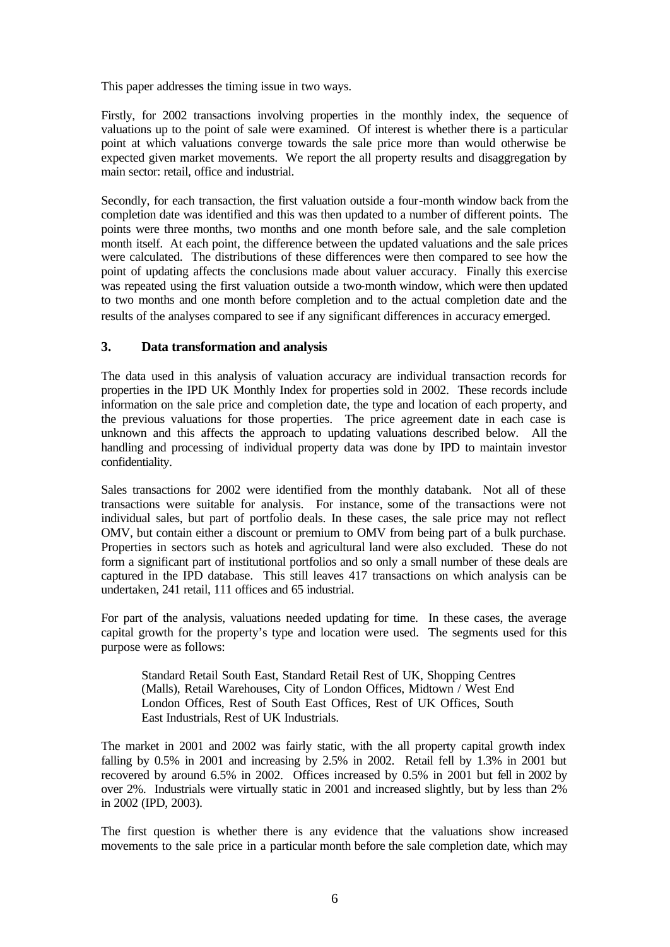This paper addresses the timing issue in two ways.

Firstly, for 2002 transactions involving properties in the monthly index, the sequence of valuations up to the point of sale were examined. Of interest is whether there is a particular point at which valuations converge towards the sale price more than would otherwise be expected given market movements. We report the all property results and disaggregation by main sector: retail, office and industrial.

Secondly, for each transaction, the first valuation outside a four-month window back from the completion date was identified and this was then updated to a number of different points. The points were three months, two months and one month before sale, and the sale completion month itself. At each point, the difference between the updated valuations and the sale prices were calculated. The distributions of these differences were then compared to see how the point of updating affects the conclusions made about valuer accuracy. Finally this exercise was repeated using the first valuation outside a two-month window, which were then updated to two months and one month before completion and to the actual completion date and the results of the analyses compared to see if any significant differences in accuracy emerged.

# **3. Data transformation and analysis**

The data used in this analysis of valuation accuracy are individual transaction records for properties in the IPD UK Monthly Index for properties sold in 2002. These records include information on the sale price and completion date, the type and location of each property, and the previous valuations for those properties. The price agreement date in each case is unknown and this affects the approach to updating valuations described below. All the handling and processing of individual property data was done by IPD to maintain investor confidentiality.

Sales transactions for 2002 were identified from the monthly databank. Not all of these transactions were suitable for analysis. For instance, some of the transactions were not individual sales, but part of portfolio deals. In these cases, the sale price may not reflect OMV, but contain either a discount or premium to OMV from being part of a bulk purchase. Properties in sectors such as hotels and agricultural land were also excluded. These do not form a significant part of institutional portfolios and so only a small number of these deals are captured in the IPD database. This still leaves 417 transactions on which analysis can be undertaken, 241 retail, 111 offices and 65 industrial.

For part of the analysis, valuations needed updating for time. In these cases, the average capital growth for the property's type and location were used. The segments used for this purpose were as follows:

Standard Retail South East, Standard Retail Rest of UK, Shopping Centres (Malls), Retail Warehouses, City of London Offices, Midtown / West End London Offices, Rest of South East Offices, Rest of UK Offices, South East Industrials, Rest of UK Industrials.

The market in 2001 and 2002 was fairly static, with the all property capital growth index falling by 0.5% in 2001 and increasing by 2.5% in 2002. Retail fell by 1.3% in 2001 but recovered by around 6.5% in 2002. Offices increased by 0.5% in 2001 but fell in 2002 by over 2%. Industrials were virtually static in 2001 and increased slightly, but by less than 2% in 2002 (IPD, 2003).

The first question is whether there is any evidence that the valuations show increased movements to the sale price in a particular month before the sale completion date, which may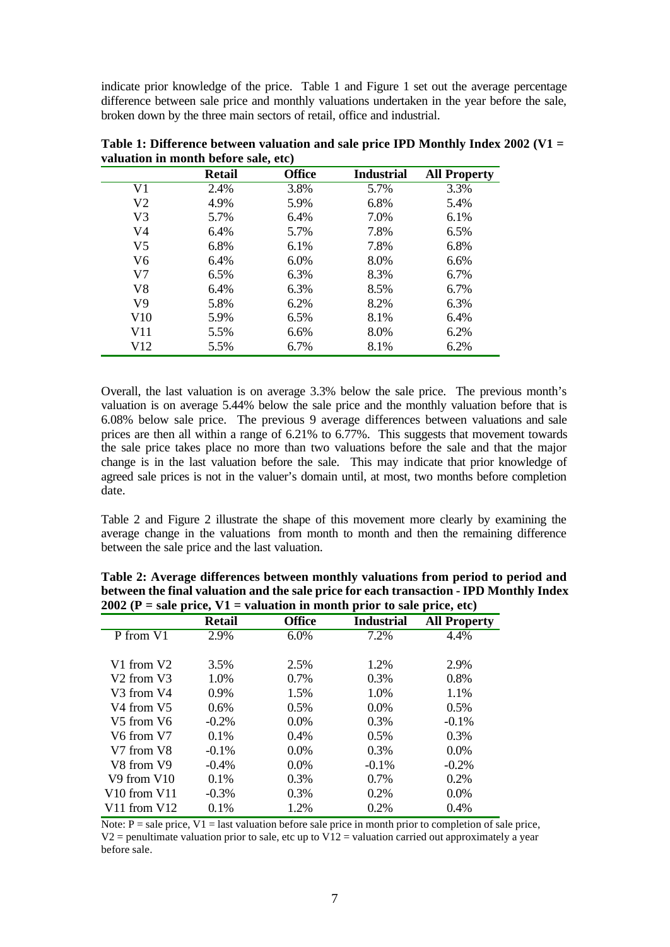indicate prior knowledge of the price. Table 1 and Figure 1 set out the average percentage difference between sale price and monthly valuations undertaken in the year before the sale, broken down by the three main sectors of retail, office and industrial.

|                | <b>Retail</b> | <b>Office</b> | <b>Industrial</b> | <b>All Property</b> |
|----------------|---------------|---------------|-------------------|---------------------|
| V <sub>1</sub> | 2.4%          | 3.8%          | 5.7%              | 3.3%                |
| V <sub>2</sub> | 4.9%          | 5.9%          | 6.8%              | 5.4%                |
| V <sub>3</sub> | 5.7%          | 6.4%          | 7.0%              | 6.1%                |
| V4             | 6.4%          | 5.7%          | 7.8%              | 6.5%                |
| V <sub>5</sub> | 6.8%          | 6.1%          | 7.8%              | 6.8%                |
| V <sub>6</sub> | 6.4%          | 6.0%          | 8.0%              | 6.6%                |
| V <sub>7</sub> | 6.5%          | 6.3%          | 8.3%              | 6.7%                |
| V8             | 6.4%          | 6.3%          | 8.5%              | 6.7%                |
| V <sub>9</sub> | 5.8%          | 6.2%          | 8.2%              | 6.3%                |
| V10            | 5.9%          | 6.5%          | 8.1%              | 6.4%                |
| V11            | 5.5%          | 6.6%          | 8.0%              | 6.2%                |
| V12            | 5.5%          | 6.7%          | 8.1%              | 6.2%                |

**Table 1: Difference between valuation and sale price IPD Monthly Index 2002 (V1 = valuation in month before sale, etc)**

Overall, the last valuation is on average 3.3% below the sale price. The previous month's valuation is on average 5.44% below the sale price and the monthly valuation before that is 6.08% below sale price. The previous 9 average differences between valuations and sale prices are then all within a range of 6.21% to 6.77%. This suggests that movement towards the sale price takes place no more than two valuations before the sale and that the major change is in the last valuation before the sale. This may indicate that prior knowledge of agreed sale prices is not in the valuer's domain until, at most, two months before completion date.

Table 2 and Figure 2 illustrate the shape of this movement more clearly by examining the average change in the valuations from month to month and then the remaining difference between the sale price and the last valuation.

| <b>Retail</b> | <b>Office</b> | <b>Industrial</b> | <b>All Property</b>                                                                     |
|---------------|---------------|-------------------|-----------------------------------------------------------------------------------------|
| 2.9%          | 6.0%          | 7.2%              | 4.4%                                                                                    |
| 3.5%          | 2.5%          | 1.2%              | 2.9%                                                                                    |
| 1.0%          | 0.7%          | 0.3%              | 0.8%                                                                                    |
| $0.9\%$       | 1.5%          | 1.0%              | 1.1%                                                                                    |
| 0.6%          | 0.5%          | 0.0%              | 0.5%                                                                                    |
| $-0.2\%$      | 0.0%          | 0.3%              | $-0.1%$                                                                                 |
| $0.1\%$       | $0.4\%$       | 0.5%              | 0.3%                                                                                    |
| $-0.1\%$      | $0.0\%$       | 0.3%              | 0.0%                                                                                    |
| $-0.4\%$      | 0.0%          | $-0.1%$           | $-0.2\%$                                                                                |
| $0.1\%$       | 0.3%          | $0.7\%$           | 0.2%                                                                                    |
| $-0.3\%$      | 0.3%          | 0.2%              | 0.0%                                                                                    |
| $0.1\%$       | 1.2%          | 0.2%              | 0.4%                                                                                    |
|               |               |                   | $2002$ (1) – sait price, $x_1$ – valuation in month prior to sait price, $\mathfrak{m}$ |

**Table 2: Average differences between monthly valuations from period to period and between the final valuation and the sale price for each transaction - IPD Monthly Index 2002 (P = sale price, V1 = valuation in month prior to sale price, etc)**

Note:  $P =$  sale price,  $V1 =$  last valuation before sale price in month prior to completion of sale price,  $V2$  = penultimate valuation prior to sale, etc up to  $V12$  = valuation carried out approximately a year before sale.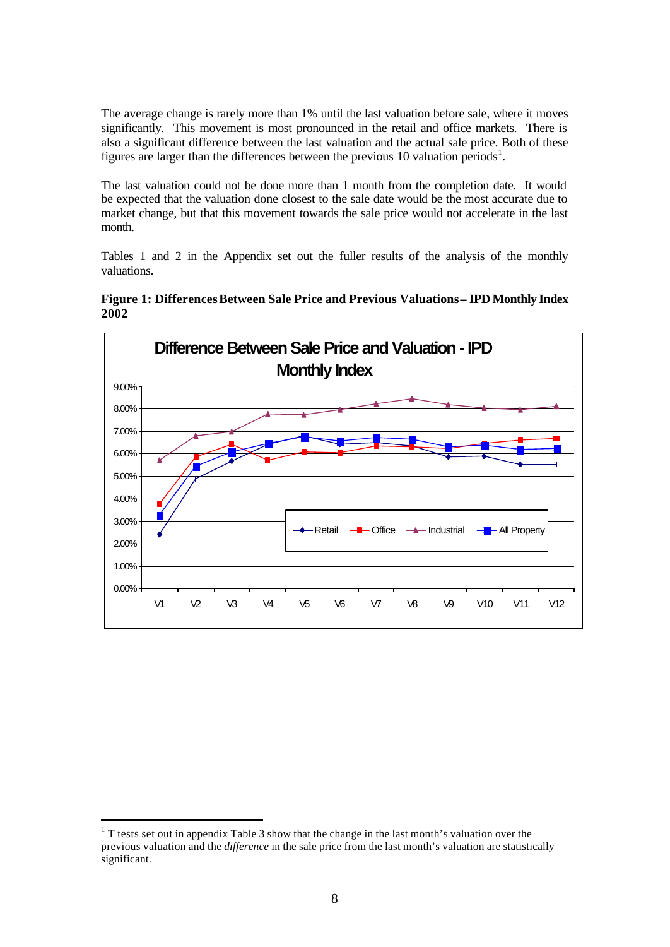The average change is rarely more than 1% until the last valuation before sale, where it moves significantly. This movement is most pronounced in the retail and office markets. There is also a significant difference between the last valuation and the actual sale price. Both of these figures are larger than the differences between the previous 10 valuation periods<sup>1</sup>.

The last valuation could not be done more than 1 month from the completion date. It would be expected that the valuation done closest to the sale date would be the most accurate due to market change, but that this movement towards the sale price would not accelerate in the last month.

Tables 1 and 2 in the Appendix set out the fuller results of the analysis of the monthly valuations.



**Figure 1: Differences Between Sale Price and Previous Valuations – IPD Monthly Index 2002**

l

 $1$  T tests set out in appendix Table 3 show that the change in the last month's valuation over the previous valuation and the *difference* in the sale price from the last month's valuation are statistically significant.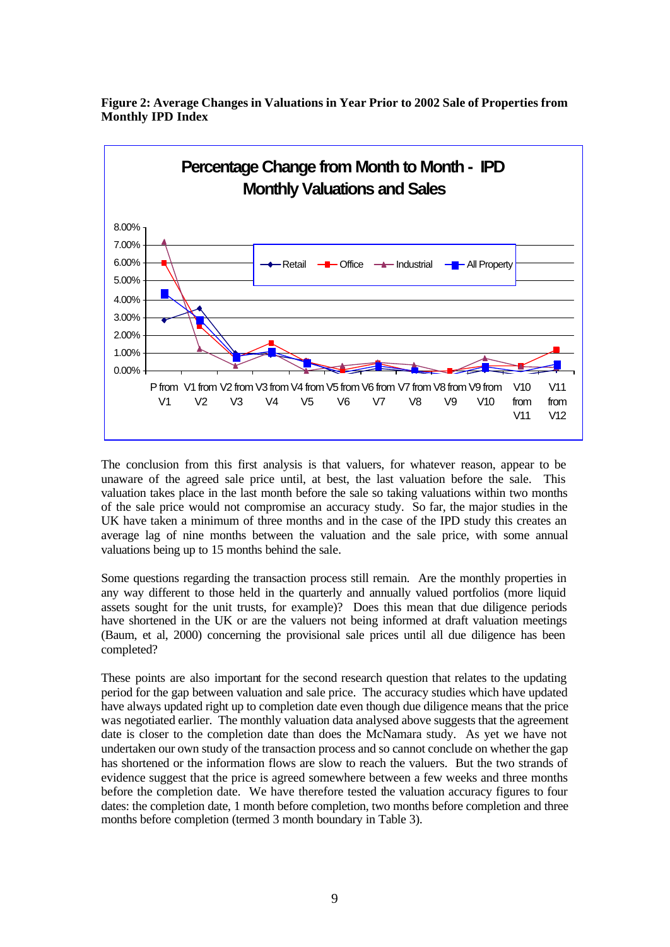

**Figure 2: Average Changes in Valuations in Year Prior to 2002 Sale of Properties from Monthly IPD Index** 

The conclusion from this first analysis is that valuers, for whatever reason, appear to be unaware of the agreed sale price until, at best, the last valuation before the sale. This valuation takes place in the last month before the sale so taking valuations within two months of the sale price would not compromise an accuracy study. So far, the major studies in the UK have taken a minimum of three months and in the case of the IPD study this creates an average lag of nine months between the valuation and the sale price, with some annual valuations being up to 15 months behind the sale.

Some questions regarding the transaction process still remain. Are the monthly properties in any way different to those held in the quarterly and annually valued portfolios (more liquid assets sought for the unit trusts, for example)? Does this mean that due diligence periods have shortened in the UK or are the valuers not being informed at draft valuation meetings (Baum, et al, 2000) concerning the provisional sale prices until all due diligence has been completed?

These points are also important for the second research question that relates to the updating period for the gap between valuation and sale price. The accuracy studies which have updated have always updated right up to completion date even though due diligence means that the price was negotiated earlier. The monthly valuation data analysed above suggests that the agreement date is closer to the completion date than does the McNamara study. As yet we have not undertaken our own study of the transaction process and so cannot conclude on whether the gap has shortened or the information flows are slow to reach the valuers. But the two strands of evidence suggest that the price is agreed somewhere between a few weeks and three months before the completion date. We have therefore tested the valuation accuracy figures to four dates: the completion date, 1 month before completion, two months before completion and three months before completion (termed 3 month boundary in Table 3).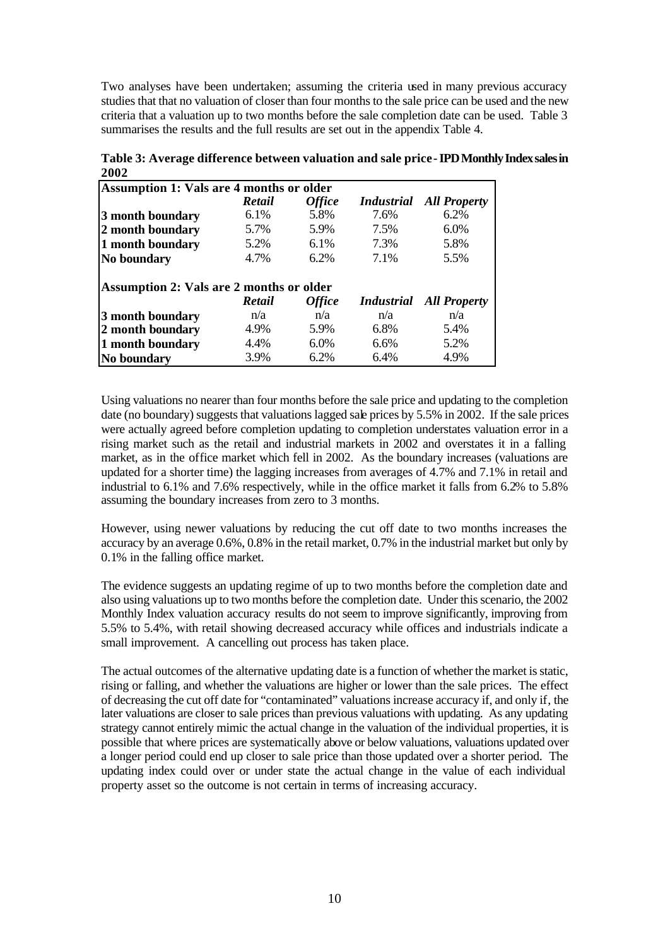Two analyses have been undertaken; assuming the criteria used in many previous accuracy studies that that no valuation of closer than four months to the sale price can be used and the new criteria that a valuation up to two months before the sale completion date can be used. Table 3 summarises the results and the full results are set out in the appendix Table 4.

| -----                                           |                                                 |               |                   |                                |  |  |  |  |  |
|-------------------------------------------------|-------------------------------------------------|---------------|-------------------|--------------------------------|--|--|--|--|--|
|                                                 | <b>Assumption 1: Vals are 4 months or older</b> |               |                   |                                |  |  |  |  |  |
|                                                 | <b>Retail</b>                                   | <b>Office</b> | <i>Industrial</i> | <b>All Property</b>            |  |  |  |  |  |
| 3 month boundary                                | $6.1\%$                                         | 5.8%          | 7.6%              | 6.2%                           |  |  |  |  |  |
| 2 month boundary                                | 5.7%                                            | 5.9%          | 7.5%              | 6.0%                           |  |  |  |  |  |
| 1 month boundary                                | 5.2%                                            | 6.1%          | 7.3%              | 5.8%                           |  |  |  |  |  |
| <b>No boundary</b>                              | 4.7%                                            | 6.2%          | 7.1%              | 5.5%                           |  |  |  |  |  |
|                                                 |                                                 |               |                   |                                |  |  |  |  |  |
| <b>Assumption 2: Vals are 2 months or older</b> |                                                 |               |                   |                                |  |  |  |  |  |
|                                                 | <b>Retail</b>                                   | <b>Office</b> |                   | <b>Industrial</b> All Property |  |  |  |  |  |
| 3 month boundary                                | n/a                                             | n/a           | n/a               | n/a                            |  |  |  |  |  |
| 2 month boundary                                | 4.9%                                            | 5.9%          | 6.8%              | 5.4%                           |  |  |  |  |  |
| 1 month boundary                                | 4.4%                                            | 6.0%          | 6.6%              | 5.2%                           |  |  |  |  |  |
| No boundary                                     | 3.9%                                            | 6.2%          | 6.4%              | 4.9%                           |  |  |  |  |  |

**Table 3: Average difference between valuation and sale price - IPD Monthly Index sales in 2002**

Using valuations no nearer than four months before the sale price and updating to the completion date (no boundary) suggests that valuations lagged sale prices by 5.5% in 2002. If the sale prices were actually agreed before completion updating to completion understates valuation error in a rising market such as the retail and industrial markets in 2002 and overstates it in a falling market, as in the office market which fell in 2002. As the boundary increases (valuations are updated for a shorter time) the lagging increases from averages of 4.7% and 7.1% in retail and industrial to 6.1% and 7.6% respectively, while in the office market it falls from 6.2% to 5.8% assuming the boundary increases from zero to 3 months.

However, using newer valuations by reducing the cut off date to two months increases the accuracy by an average 0.6%, 0.8% in the retail market, 0.7% in the industrial market but only by 0.1% in the falling office market.

The evidence suggests an updating regime of up to two months before the completion date and also using valuations up to two months before the completion date. Under this scenario, the 2002 Monthly Index valuation accuracy results do not seem to improve significantly, improving from 5.5% to 5.4%, with retail showing decreased accuracy while offices and industrials indicate a small improvement. A cancelling out process has taken place.

The actual outcomes of the alternative updating date is a function of whether the market is static, rising or falling, and whether the valuations are higher or lower than the sale prices. The effect of decreasing the cut off date for "contaminated" valuations increase accuracy if, and only if, the later valuations are closer to sale prices than previous valuations with updating. As any updating strategy cannot entirely mimic the actual change in the valuation of the individual properties, it is possible that where prices are systematically above or below valuations, valuations updated over a longer period could end up closer to sale price than those updated over a shorter period. The updating index could over or under state the actual change in the value of each individual property asset so the outcome is not certain in terms of increasing accuracy.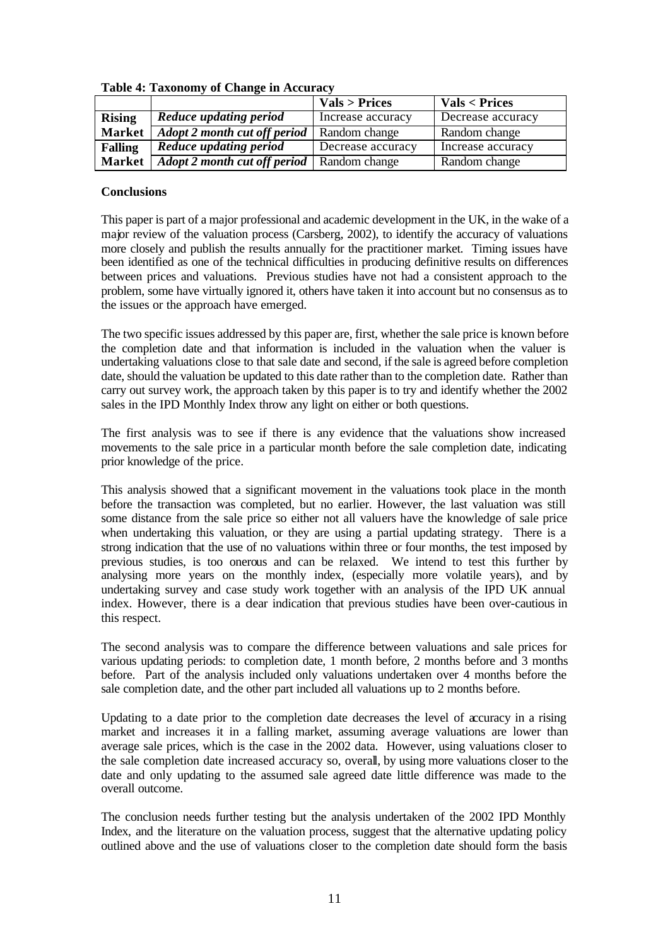|                |                                                     | Vals > Prices     | <b>Vals &lt; Prices</b> |
|----------------|-----------------------------------------------------|-------------------|-------------------------|
| <b>Rising</b>  | Reduce updating period                              | Increase accuracy | Decrease accuracy       |
| <b>Market</b>  | Adopt 2 month cut off period                        | Random change     | Random change           |
| <b>Falling</b> | <b>Reduce updating period</b>                       | Decrease accuracy | Increase accuracy       |
| <b>Market</b>  | <b>Adopt 2 month cut off period</b>   Random change |                   | Random change           |

**Table 4: Taxonomy of Change in Accuracy**

#### **Conclusions**

This paper is part of a major professional and academic development in the UK, in the wake of a major review of the valuation process (Carsberg, 2002), to identify the accuracy of valuations more closely and publish the results annually for the practitioner market. Timing issues have been identified as one of the technical difficulties in producing definitive results on differences between prices and valuations. Previous studies have not had a consistent approach to the problem, some have virtually ignored it, others have taken it into account but no consensus as to the issues or the approach have emerged.

The two specific issues addressed by this paper are, first, whether the sale price is known before the completion date and that information is included in the valuation when the valuer is undertaking valuations close to that sale date and second, if the sale is agreed before completion date, should the valuation be updated to this date rather than to the completion date. Rather than carry out survey work, the approach taken by this paper is to try and identify whether the 2002 sales in the IPD Monthly Index throw any light on either or both questions.

The first analysis was to see if there is any evidence that the valuations show increased movements to the sale price in a particular month before the sale completion date, indicating prior knowledge of the price.

This analysis showed that a significant movement in the valuations took place in the month before the transaction was completed, but no earlier. However, the last valuation was still some distance from the sale price so either not all valuers have the knowledge of sale price when undertaking this valuation, or they are using a partial updating strategy. There is a strong indication that the use of no valuations within three or four months, the test imposed by previous studies, is too onerous and can be relaxed. We intend to test this further by analysing more years on the monthly index, (especially more volatile years), and by undertaking survey and case study work together with an analysis of the IPD UK annual index. However, there is a clear indication that previous studies have been over-cautious in this respect.

The second analysis was to compare the difference between valuations and sale prices for various updating periods: to completion date, 1 month before, 2 months before and 3 months before. Part of the analysis included only valuations undertaken over 4 months before the sale completion date, and the other part included all valuations up to 2 months before.

Updating to a date prior to the completion date decreases the level of accuracy in a rising market and increases it in a falling market, assuming average valuations are lower than average sale prices, which is the case in the 2002 data. However, using valuations closer to the sale completion date increased accuracy so, overall, by using more valuations closer to the date and only updating to the assumed sale agreed date little difference was made to the overall outcome.

The conclusion needs further testing but the analysis undertaken of the 2002 IPD Monthly Index, and the literature on the valuation process, suggest that the alternative updating policy outlined above and the use of valuations closer to the completion date should form the basis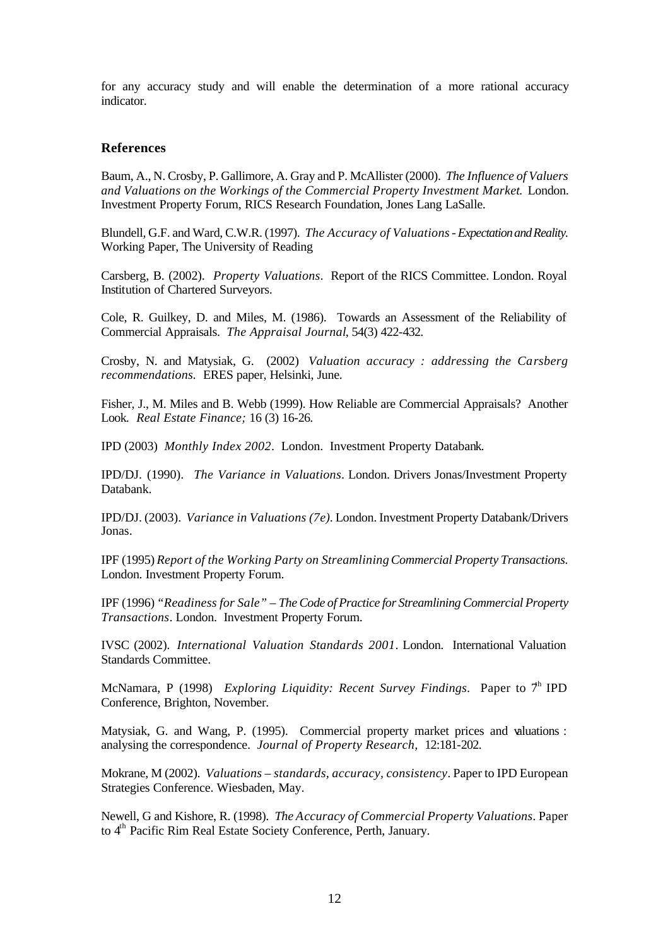for any accuracy study and will enable the determination of a more rational accuracy indicator.

### **References**

Baum, A., N. Crosby, P. Gallimore, A. Gray and P. McAllister (2000). *The Influence of Valuers and Valuations on the Workings of the Commercial Property Investment Market*. London. Investment Property Forum, RICS Research Foundation, Jones Lang LaSalle.

Blundell, G.F. and Ward, C.W.R. (1997). *The Accuracy of Valuations - Expectation and Reality.* Working Paper, The University of Reading

Carsberg, B. (2002). *Property Valuations*. Report of the RICS Committee. London. Royal Institution of Chartered Surveyors.

Cole, R. Guilkey, D. and Miles, M. (1986). Towards an Assessment of the Reliability of Commercial Appraisals. *The Appraisal Journal*, 54(3) 422-432.

Crosby, N. and Matysiak, G. (2002) *Valuation accuracy : addressing the Carsberg recommendations.* ERES paper, Helsinki, June.

Fisher, J., M. Miles and B. Webb (1999). How Reliable are Commercial Appraisals? Another Look*. Real Estate Finance;* 16 (3) 16-26.

IPD (2003) *Monthly Index 2002*. London. Investment Property Databank.

IPD/DJ. (1990). *The Variance in Valuations*. London. Drivers Jonas/Investment Property Databank.

IPD/DJ. (2003). *Variance in Valuations (7e).* London. Investment Property Databank/Drivers Jonas.

IPF (1995) *Report of the Working Party on Streamlining Commercial Property Transactions.* London. Investment Property Forum.

IPF (1996) *"Readiness for Sale" – The Code of Practice for Streamlining Commercial Property Transactions*. London. Investment Property Forum.

IVSC (2002). *International Valuation Standards 2001*. London. International Valuation Standards Committee.

McNamara, P (1998) *Exploring Liquidity: Recent Survey Findings*. Paper to <sup> $\uparrow$ h</sup> IPD Conference, Brighton, November.

Matysiak, G. and Wang, P. (1995). Commercial property market prices and valuations : analysing the correspondence. *Journal of Property Research,* 12:181-202.

Mokrane, M (2002). *Valuations – standards, accuracy, consistency*. Paper to IPD European Strategies Conference. Wiesbaden, May.

Newell, G and Kishore, R. (1998). *The Accuracy of Commercial Property Valuations*. Paper to 4<sup>th</sup> Pacific Rim Real Estate Society Conference, Perth, January.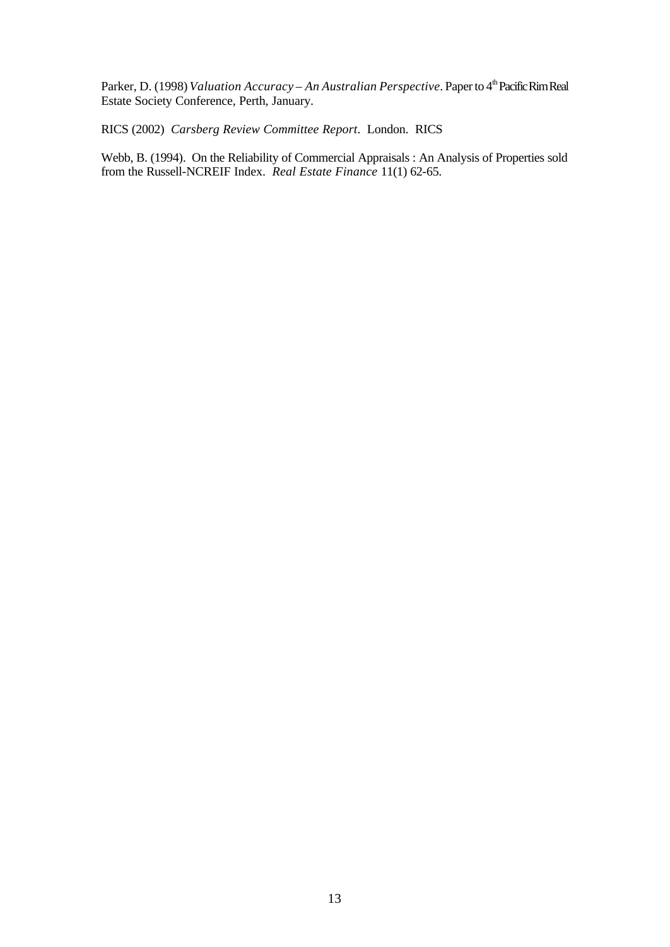Parker, D. (1998) *Valuation Accuracy – An Australian Perspective*. Paper to 4<sup>th</sup> Pacific Rim Real Estate Society Conference, Perth, January.

RICS (2002) *Carsberg Review Committee Report*. London. RICS

Webb, B. (1994). On the Reliability of Commercial Appraisals : An Analysis of Properties sold from the Russell-NCREIF Index. *Real Estate Finance* 11(1) 62-65.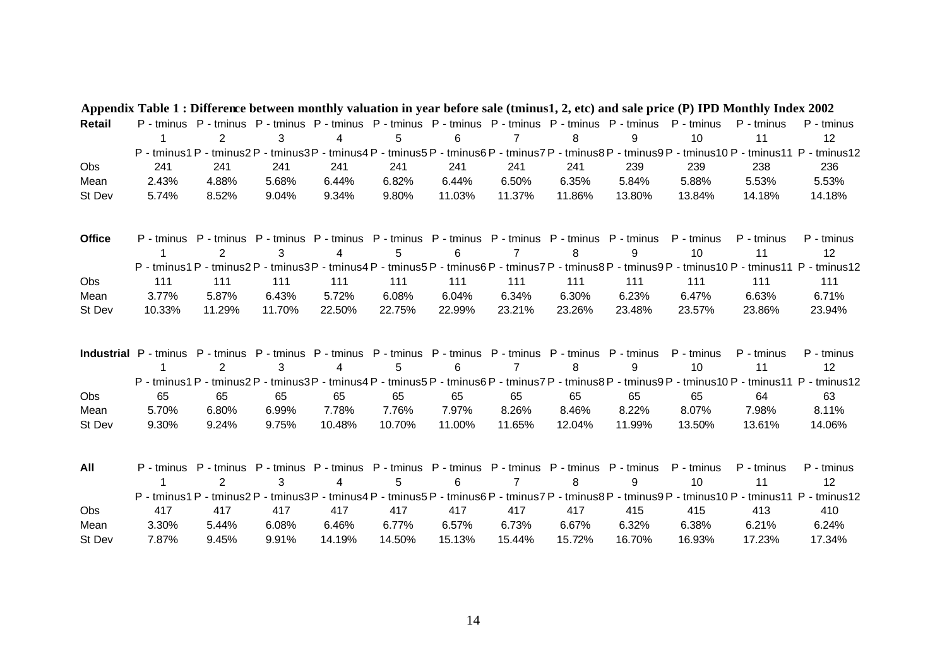|               |            |                |        |        |                                                                                                                 |        |        |        |        |            | Appendix Table 1: Difference between monthly valuation in year before sale (tminus1, 2, etc) and sale price (P) IPD Monthly Index 2002 |                                                                                                                                          |
|---------------|------------|----------------|--------|--------|-----------------------------------------------------------------------------------------------------------------|--------|--------|--------|--------|------------|----------------------------------------------------------------------------------------------------------------------------------------|------------------------------------------------------------------------------------------------------------------------------------------|
| Retail        |            |                |        |        | P - tminus P - tminus P - tminus P - tminus P - tminus P - tminus P - tminus P - tminus P - tminus P - tminus   |        |        |        |        |            | P - tminus                                                                                                                             | P - tminus                                                                                                                               |
|               |            | 2              | 3      | 4      | 5                                                                                                               | 6      | 7      | 8      | 9      | 10         | 11                                                                                                                                     | 12                                                                                                                                       |
|               |            |                |        |        | P - tminus1 P - tminus2 P - tminus3 P - tminus4 P - tminus5 P - tminus6 P - tminus7 P - tminus8 P - tminus9 P - |        |        |        |        |            |                                                                                                                                        | tminus10 P - tminus11 P - tminus12                                                                                                       |
| Obs           | 241        | 241            | 241    | 241    | 241                                                                                                             | 241    | 241    | 241    | 239    | 239        | 238                                                                                                                                    | 236                                                                                                                                      |
| Mean          | 2.43%      | 4.88%          | 5.68%  | 6.44%  | 6.82%                                                                                                           | 6.44%  | 6.50%  | 6.35%  | 5.84%  | 5.88%      | 5.53%                                                                                                                                  | 5.53%                                                                                                                                    |
| St Dev        | 5.74%      | 8.52%          | 9.04%  | 9.34%  | 9.80%                                                                                                           | 11.03% | 11.37% | 11.86% | 13.80% | 13.84%     | 14.18%                                                                                                                                 | 14.18%                                                                                                                                   |
|               |            |                |        |        |                                                                                                                 |        |        |        |        |            |                                                                                                                                        |                                                                                                                                          |
| <b>Office</b> | P - tminus |                |        |        | P - tminus P - tminus P - tminus P - tminus P - tminus P - tminus P - tminus P - tminus                         |        |        |        |        | P - tminus | P - tminus                                                                                                                             | P - tminus                                                                                                                               |
|               |            | 2              | 3      | 4      | 5                                                                                                               | 6      |        | 8      | 9      | 10         | 11                                                                                                                                     | 12 <sup>2</sup>                                                                                                                          |
|               |            |                |        |        |                                                                                                                 |        |        |        |        |            |                                                                                                                                        | P - tminus1 P - tminus2 P - tminus3 P - tminus4 P - tminus5 P - tminus6 P - tminus7 P - tminus8 P - tminus10 P - tminus11 P - tminus12   |
| Obs           | 111        | 111            | 111    | 111    | 111                                                                                                             | 111    | 111    | 111    | 111    | 111        | 111                                                                                                                                    | 111                                                                                                                                      |
| Mean          | 3.77%      | 5.87%          | 6.43%  | 5.72%  | 6.08%                                                                                                           | 6.04%  | 6.34%  | 6.30%  | 6.23%  | 6.47%      | 6.63%                                                                                                                                  | 6.71%                                                                                                                                    |
| St Dev        | 10.33%     | 11.29%         | 11.70% | 22.50% | 22.75%                                                                                                          | 22.99% | 23.21% | 23.26% | 23.48% | 23.57%     | 23.86%                                                                                                                                 | 23.94%                                                                                                                                   |
|               |            |                |        |        | Industrial P - tminus P - tminus P - tminus P - tminus P - tminus P - tminus P - tminus P - tminus P - tminus   |        |        |        |        | P - tminus | P - tminus                                                                                                                             | $P -$ tminus                                                                                                                             |
|               |            | $\overline{2}$ | 3      | 4      | 5                                                                                                               | 6      |        | 8      | 9      | 10         | 11                                                                                                                                     | 12                                                                                                                                       |
|               |            |                |        |        |                                                                                                                 |        |        |        |        |            |                                                                                                                                        | P - tminus1P - tminus2P - tminus3P - tminus4P - tminus5P - tminus6P - tminus7P - tminus8P - tminus9P - tminus10P - tminus11 P - tminus12 |
| Obs           | 65         | 65             | 65     | 65     | 65                                                                                                              | 65     | 65     | 65     | 65     | 65         | 64                                                                                                                                     | 63                                                                                                                                       |
| Mean          | 5.70%      | 6.80%          | 6.99%  | 7.78%  | 7.76%                                                                                                           | 7.97%  | 8.26%  | 8.46%  | 8.22%  | 8.07%      | 7.98%                                                                                                                                  | 8.11%                                                                                                                                    |
| St Dev        | 9.30%      | 9.24%          | 9.75%  | 10.48% | 10.70%                                                                                                          | 11.00% | 11.65% | 12.04% | 11.99% | 13.50%     | 13.61%                                                                                                                                 | 14.06%                                                                                                                                   |
|               |            |                |        |        |                                                                                                                 |        |        |        |        |            |                                                                                                                                        |                                                                                                                                          |
| All           |            |                |        |        | P - tminus P - tminus P - tminus P - tminus P - tminus P - tminus P - tminus P - tminus P - tminus              |        |        |        |        | P - tminus | P - tminus                                                                                                                             | P - tminus                                                                                                                               |
|               |            | $\overline{2}$ | 3      | 4      | 5                                                                                                               | 6      |        | 8      | 9      | 10         | 11                                                                                                                                     | 12                                                                                                                                       |
|               |            |                |        |        |                                                                                                                 |        |        |        |        |            |                                                                                                                                        | P-tminus1P-tminus2P-tminus3P-tminus4P-tminus5P-tminus6P-tminus7P-tminus7P-tminus8P-tminus9P-tminus10P-tminus11 P-tminus12                |
| Obs           | 417        | 417            | 417    | 417    | 417                                                                                                             | 417    | 417    | 417    | 415    | 415        | 413                                                                                                                                    | 410                                                                                                                                      |
| Mean          | 3.30%      | 5.44%          | 6.08%  | 6.46%  | 6.77%                                                                                                           | 6.57%  | 6.73%  | 6.67%  | 6.32%  | 6.38%      | 6.21%                                                                                                                                  | 6.24%                                                                                                                                    |
| St Dev        | 7.87%      | 9.45%          | 9.91%  | 14.19% | 14.50%                                                                                                          | 15.13% | 15.44% | 15.72% | 16.70% | 16.93%     | 17.23%                                                                                                                                 | 17.34%                                                                                                                                   |

14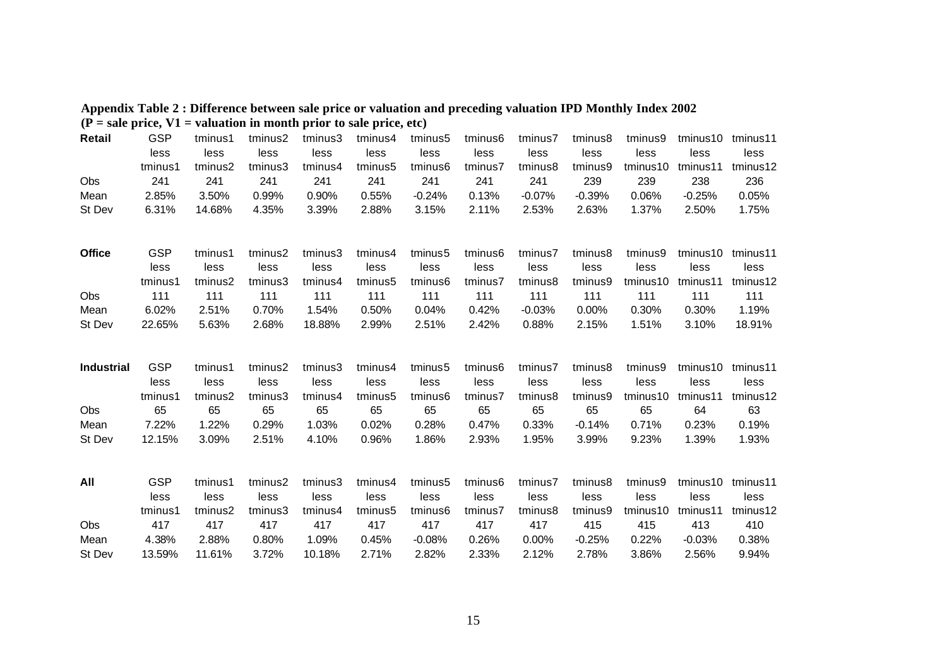|                   |              | $(P = \text{ sale price}, V1 = \text{valuation in month prior to sale price}, etc)$ |                |                 |                |                     |                |                   |                   |                |                |              |
|-------------------|--------------|-------------------------------------------------------------------------------------|----------------|-----------------|----------------|---------------------|----------------|-------------------|-------------------|----------------|----------------|--------------|
| Retail            | <b>GSP</b>   | tminus1                                                                             | tminus2        | tminus3         | tminus4        | tminus5             | tminus6        | tminus7           | tminus8           | tminus9        | tminus10       | tminus11     |
|                   | less         | less                                                                                | less           | less            | less           | less                | less           | less              | less              | less           | less           | less         |
|                   | tminus1      | tminus2                                                                             | tminus3        | tminus4         | tminus5        | tminus6             | tminus7        | tminus8           | tminus9           | tminus10       | tminus11       | tminus12     |
| Obs               | 241          | 241                                                                                 | 241            | 241             | 241            | 241                 | 241            | 241               | 239               | 239            | 238            | 236          |
| Mean              | 2.85%        | 3.50%                                                                               | 0.99%          | 0.90%           | 0.55%          | $-0.24%$            | 0.13%          | $-0.07%$          | $-0.39%$          | 0.06%          | $-0.25%$       | 0.05%        |
| St Dev            | 6.31%        | 14.68%                                                                              | 4.35%          | 3.39%           | 2.88%          | 3.15%               | 2.11%          | 2.53%             | 2.63%             | 1.37%          | 2.50%          | 1.75%        |
| <b>Office</b>     | <b>GSP</b>   | tminus1                                                                             | tminus2        | tminus3         | tminus4        | tminus5             | tminus6        | tminus7           | tminus8           | tminus9        | tminus10       | tminus11     |
|                   | less         | less                                                                                | less           | less            | less           | less                | less           | less              | less              | less           | less           | less         |
| Obs               | tminus1      | tminus2                                                                             | tminus3        | tminus4         | tminus5        | tminus6             | tminus7        | tminus8           | tminus9           | tminus10       | tminus11       | tminus12     |
| Mean              | 111<br>6.02% | 111<br>2.51%                                                                        | 111            | 111             | 111            | 111                 | 111            | 111               | 111               | 111            | 111            | 111<br>1.19% |
| St Dev            | 22.65%       | 5.63%                                                                               | 0.70%<br>2.68% | 1.54%<br>18.88% | 0.50%<br>2.99% | 0.04%<br>2.51%      | 0.42%<br>2.42% | $-0.03%$<br>0.88% | $0.00\%$<br>2.15% | 0.30%<br>1.51% | 0.30%<br>3.10% | 18.91%       |
|                   |              |                                                                                     |                |                 |                |                     |                |                   |                   |                |                |              |
| <b>Industrial</b> | <b>GSP</b>   | tminus1                                                                             | tminus2        | tminus3         | tminus4        | tminus <sub>5</sub> | tminus6        | tminus7           | tminus8           | tminus9        | tminus10       | tminus11     |
|                   | less         | less                                                                                | less           | less            | less           | less                | less           | less              | less              | less           | less           | less         |
|                   | tminus1      | tminus2                                                                             | tminus3        | tminus4         | tminus5        | tminus6             | tminus7        | tminus8           | tminus9           | tminus10       | tminus11       | tminus12     |
| Obs               | 65           | 65                                                                                  | 65             | 65              | 65             | 65                  | 65             | 65                | 65                | 65             | 64             | 63           |
| Mean              | 7.22%        | 1.22%                                                                               | 0.29%          | 1.03%           | 0.02%          | 0.28%               | 0.47%          | 0.33%             | $-0.14%$          | 0.71%          | 0.23%          | 0.19%        |
| St Dev            | 12.15%       | 3.09%                                                                               | 2.51%          | 4.10%           | 0.96%          | 1.86%               | 2.93%          | 1.95%             | 3.99%             | 9.23%          | 1.39%          | 1.93%        |
| All               | <b>GSP</b>   | tminus1                                                                             | tminus2        | tminus3         | tminus4        | tminus5             | tminus6        | tminus7           | tminus8           | tminus9        | tminus10       | tminus11     |
|                   | less         | less                                                                                | less           | less            | less           | less                | less           | less              | less              | less           | less           | less         |
|                   | tminus1      | tminus2                                                                             | tminus3        | tminus4         | tminus5        | tminus6             | tminus7        | tminus8           | tminus9           | tminus10       | tminus11       | tminus12     |
| Obs               | 417          | 417                                                                                 | 417            | 417             | 417            | 417                 | 417            | 417               | 415               | 415            | 413            | 410          |
| Mean              | 4.38%        | 2.88%                                                                               | 0.80%          | 1.09%           | 0.45%          | $-0.08%$            | 0.26%          | 0.00%             | $-0.25%$          | 0.22%          | $-0.03%$       | 0.38%        |
| St Dev            | 13.59%       | 11.61%                                                                              | 3.72%          | 10.18%          | 2.71%          | 2.82%               | 2.33%          | 2.12%             | 2.78%             | 3.86%          | 2.56%          | 9.94%        |

| Appendix Table 2 : Difference between sale price or valuation and preceding valuation IPD Monthly Index 2002 |  |  |
|--------------------------------------------------------------------------------------------------------------|--|--|
| $(P = sale price, V1 = valuation in month prior to sale price, etc)$                                         |  |  |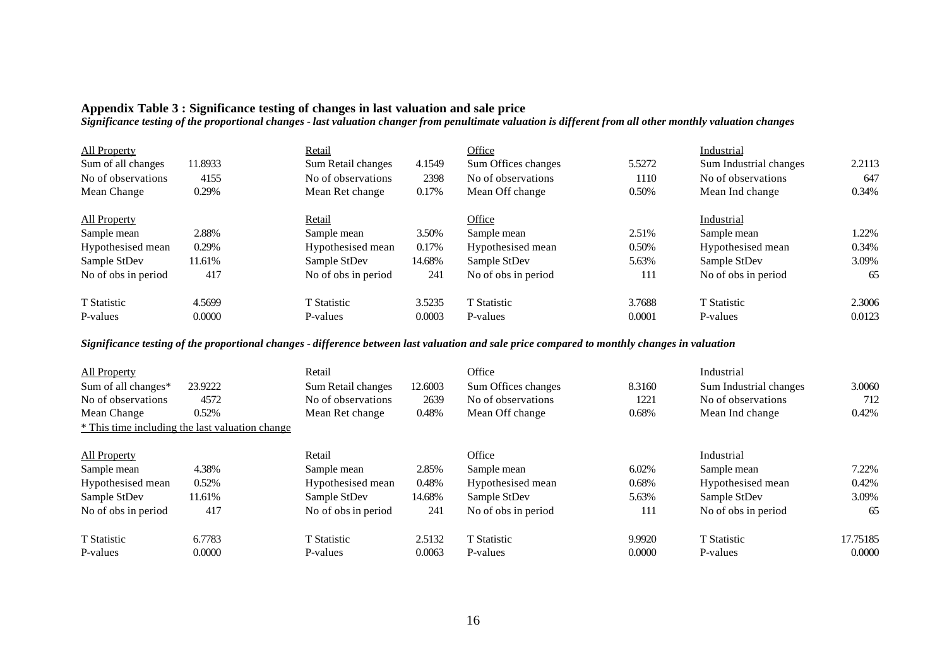### **Appendix Table 3 : Significance testing of changes in last valuation and sale price**

*Significance testing of the proportional changes - last valuation changer from penultimate valuation is different from all other monthly valuation changes*

| All Property        |         | Retail              |        | Office              |        | Industrial             |        |
|---------------------|---------|---------------------|--------|---------------------|--------|------------------------|--------|
| Sum of all changes  | 11.8933 | Sum Retail changes  | 4.1549 | Sum Offices changes | 5.5272 | Sum Industrial changes | 2.2113 |
| No of observations  | 4155    | No of observations  | 2398   | No of observations  | 1110   | No of observations     | 647    |
| Mean Change         | 0.29%   | Mean Ret change     | 0.17%  | Mean Off change     | 0.50%  | Mean Ind change        | 0.34%  |
| <b>All Property</b> |         | Retail              |        | Office              |        | Industrial             |        |
| Sample mean         | 2.88%   | Sample mean         | 3.50%  | Sample mean         | 2.51%  | Sample mean            | 1.22%  |
| Hypothesised mean   | 0.29%   | Hypothesised mean   | 0.17%  | Hypothesised mean   | 0.50%  | Hypothesised mean      | 0.34%  |
| Sample StDev        | 11.61%  | Sample StDev        | 14.68% | Sample StDev        | 5.63%  | Sample StDev           | 3.09%  |
| No of obs in period | 417     | No of obs in period | 241    | No of obs in period | 111    | No of obs in period    | 65     |
| T Statistic         | 4.5699  | <b>T</b> Statistic  | 3.5235 | T Statistic         | 3.7688 | <b>T</b> Statistic     | 2.3006 |
| P-values            | 0.0000  | P-values            | 0.0003 | P-values            | 0.0001 | P-values               | 0.0123 |

*Significance testing of the proportional changes - difference between last valuation and sale price compared to monthly changes in valuation*

| All Property        |                                                 | Retail              |         | Office              |        | Industrial             |          |
|---------------------|-------------------------------------------------|---------------------|---------|---------------------|--------|------------------------|----------|
| Sum of all changes* | 23.9222                                         | Sum Retail changes  | 12.6003 | Sum Offices changes | 8.3160 | Sum Industrial changes | 3.0060   |
| No of observations  | 4572                                            | No of observations  | 2639    | No of observations  | 1221   | No of observations     | 712      |
| Mean Change         | 0.52%                                           | Mean Ret change     | 0.48%   | Mean Off change     | 0.68%  | Mean Ind change        | 0.42%    |
|                     | * This time including the last valuation change |                     |         |                     |        |                        |          |
| <b>All Property</b> |                                                 | Retail              |         | Office              |        | Industrial             |          |
| Sample mean         | 4.38%                                           | Sample mean         | 2.85%   | Sample mean         | 6.02%  | Sample mean            | 7.22%    |
| Hypothesised mean   | 0.52%                                           | Hypothesised mean   | 0.48%   | Hypothesised mean   | 0.68%  | Hypothesised mean      | 0.42%    |
| Sample StDev        | 1.61%                                           | Sample StDev        | 14.68%  | Sample StDev        | 5.63%  | Sample StDev           | 3.09%    |
| No of obs in period | 417                                             | No of obs in period | 241     | No of obs in period | 111    | No of obs in period    | 65       |
| T Statistic         | 6.7783                                          | <b>T</b> Statistic  | 2.5132  | T Statistic         | 9.9920 | <b>T</b> Statistic     | 17.75185 |
| P-values            | 0.0000                                          | P-values            | 0.0063  | P-values            | 0.0000 | P-values               | 0.0000   |